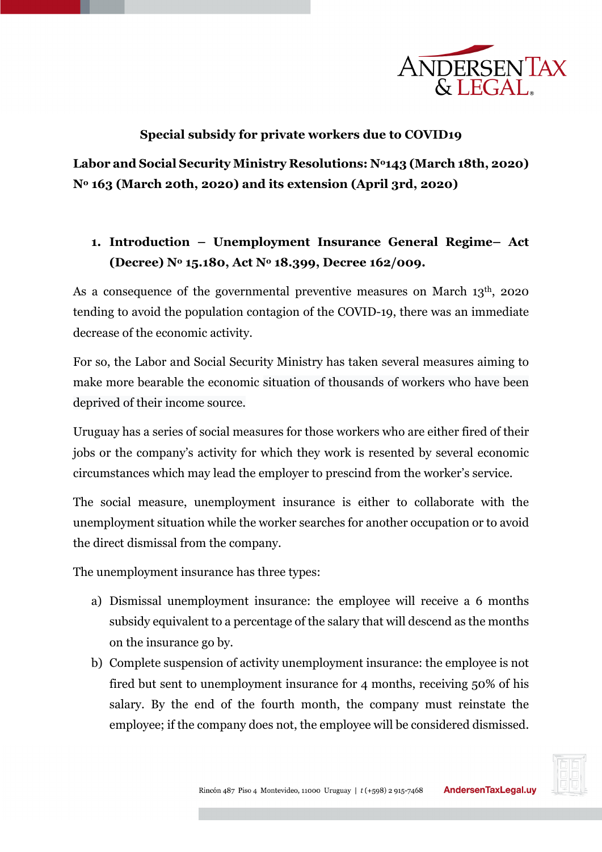

## **Special subsidy for private workers due to COVID19**

**Labor and Social Security Ministry Resolutions: No143 (March 18th, 2020) No 163 (March 20th, 2020) and its extension (April 3rd, 2020)**

# **1. Introduction – Unemployment Insurance General Regime– Act (Decree) No 15.180, Act No 18.399, Decree 162/009.**

As a consequence of the governmental preventive measures on March 13<sup>th</sup>, 2020 tending to avoid the population contagion of the COVID-19, there was an immediate decrease of the economic activity.

For so, the Labor and Social Security Ministry has taken several measures aiming to make more bearable the economic situation of thousands of workers who have been deprived of their income source.

Uruguay has a series of social measures for those workers who are either fired of their jobs or the company's activity for which they work is resented by several economic circumstances which may lead the employer to prescind from the worker's service.

The social measure, unemployment insurance is either to collaborate with the unemployment situation while the worker searches for another occupation or to avoid the direct dismissal from the company.

The unemployment insurance has three types:

- a) Dismissal unemployment insurance: the employee will receive a 6 months subsidy equivalent to a percentage of the salary that will descend as the months on the insurance go by.
- b) Complete suspension of activity unemployment insurance: the employee is not fired but sent to unemployment insurance for 4 months, receiving 50% of his salary. By the end of the fourth month, the company must reinstate the employee; if the company does not, the employee will be considered dismissed.

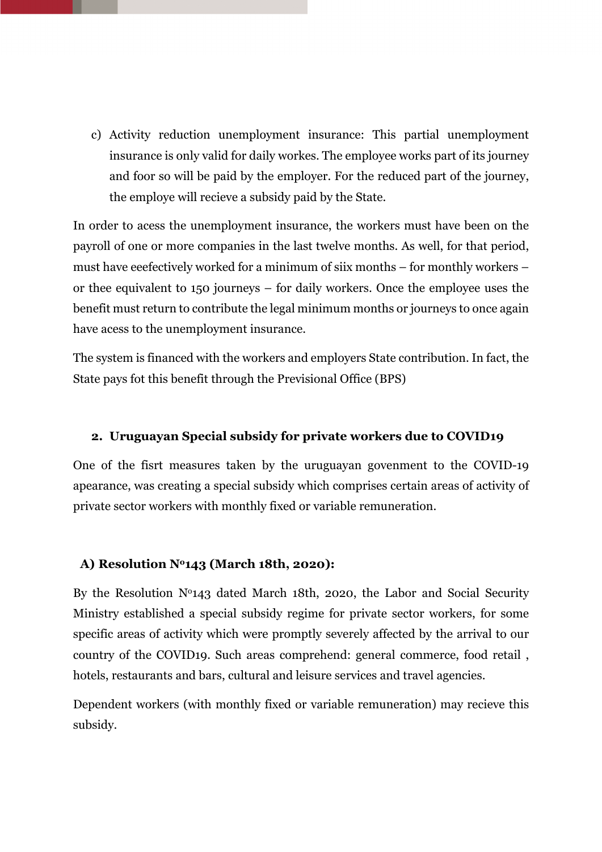c) Activity reduction unemployment insurance: This partial unemployment insurance is only valid for daily workes. The employee works part of its journey and foor so will be paid by the employer. For the reduced part of the journey, the employe will recieve a subsidy paid by the State.

In order to acess the unemployment insurance, the workers must have been on the payroll of one or more companies in the last twelve months. As well, for that period, must have eeefectively worked for a minimum of siix months – for monthly workers – or thee equivalent to 150 journeys – for daily workers. Once the employee uses the benefit must return to contribute the legal minimum months or journeys to once again have acess to the unemployment insurance.

The system is financed with the workers and employers State contribution. In fact, the State pays fot this benefit through the Previsional Office (BPS)

## **2. Uruguayan Special subsidy for private workers due to COVID19**

One of the fisrt measures taken by the uruguayan govenment to the COVID-19 apearance, was creating a special subsidy which comprises certain areas of activity of private sector workers with monthly fixed or variable remuneration.

#### **A) Resolution No143 (March 18th, 2020):**

By the Resolution  $N<sup>0143</sup>$  dated March 18th, 2020, the Labor and Social Security Ministry established a special subsidy regime for private sector workers, for some specific areas of activity which were promptly severely affected by the arrival to our country of the COVID19. Such areas comprehend: general commerce, food retail , hotels, restaurants and bars, cultural and leisure services and travel agencies.

Dependent workers (with monthly fixed or variable remuneration) may recieve this subsidy.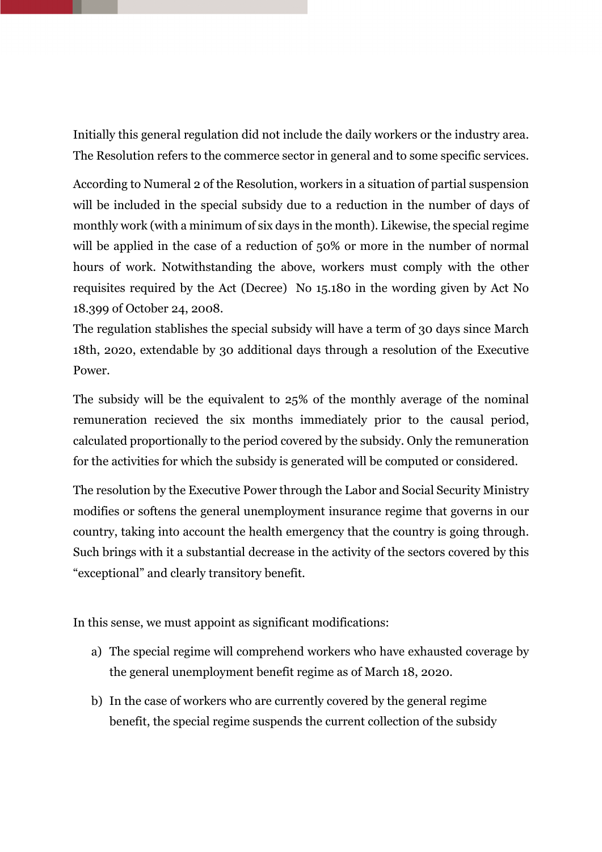Initially this general regulation did not include the daily workers or the industry area. The Resolution refers to the commerce sector in general and to some specific services.

According to Numeral 2 of the Resolution, workers in a situation of partial suspension will be included in the special subsidy due to a reduction in the number of days of monthly work (with a minimum of six days in the month). Likewise, the special regime will be applied in the case of a reduction of 50% or more in the number of normal hours of work. Notwithstanding the above, workers must comply with the other requisites required by the Act (Decree) No 15.180 in the wording given by Act No 18.399 of October 24, 2008.

The regulation stablishes the special subsidy will have a term of 30 days since March 18th, 2020, extendable by 30 additional days through a resolution of the Executive Power.

The subsidy will be the equivalent to 25% of the monthly average of the nominal remuneration recieved the six months immediately prior to the causal period, calculated proportionally to the period covered by the subsidy. Only the remuneration for the activities for which the subsidy is generated will be computed or considered.

The resolution by the Executive Power through the Labor and Social Security Ministry modifies or softens the general unemployment insurance regime that governs in our country, taking into account the health emergency that the country is going through. Such brings with it a substantial decrease in the activity of the sectors covered by this "exceptional" and clearly transitory benefit.

In this sense, we must appoint as significant modifications:

- a) The special regime will comprehend workers who have exhausted coverage by the general unemployment benefit regime as of March 18, 2020.
- b) In the case of workers who are currently covered by the general regime benefit, the special regime suspends the current collection of the subsidy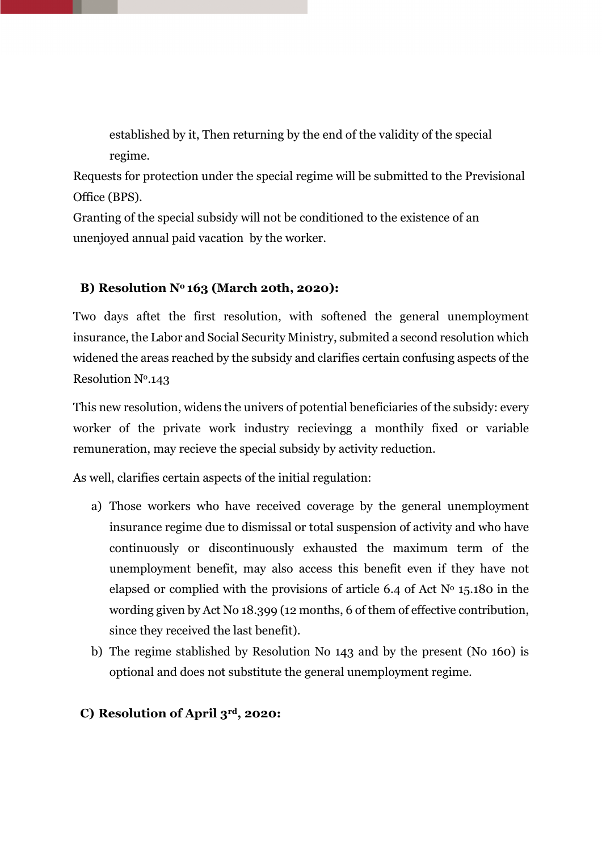established by it, Then returning by the end of the validity of the special regime.

Requests for protection under the special regime will be submitted to the Previsional Office (BPS).

Granting of the special subsidy will not be conditioned to the existence of an unenjoyed annual paid vacation by the worker.

## **B) Resolution No 163 (March 20th, 2020):**

Two days aftet the first resolution, with softened the general unemployment insurance, the Labor and Social Security Ministry, submited a second resolution which widened the areas reached by the subsidy and clarifies certain confusing aspects of the Resolution Nº.143

This new resolution, widens the univers of potential beneficiaries of the subsidy: every worker of the private work industry recievingg a monthily fixed or variable remuneration, may recieve the special subsidy by activity reduction.

As well, clarifies certain aspects of the initial regulation:

- a) Those workers who have received coverage by the general unemployment insurance regime due to dismissal or total suspension of activity and who have continuously or discontinuously exhausted the maximum term of the unemployment benefit, may also access this benefit even if they have not elapsed or complied with the provisions of article 6.4 of Act  $N<sup>o</sup>$  15.180 in the wording given by Act No 18.399 (12 months, 6 of them of effective contribution, since they received the last benefit).
- b) The regime stablished by Resolution No 143 and by the present (No 160) is optional and does not substitute the general unemployment regime.

#### **C) Resolution of April 3rd, 2020:**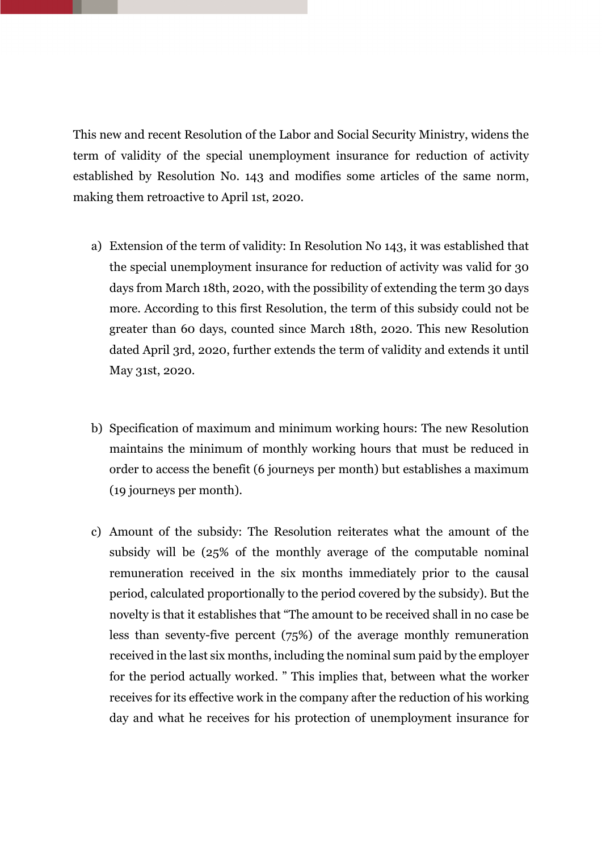This new and recent Resolution of the Labor and Social Security Ministry, widens the term of validity of the special unemployment insurance for reduction of activity established by Resolution No. 143 and modifies some articles of the same norm, making them retroactive to April 1st, 2020.

- a) Extension of the term of validity: In Resolution No 143, it was established that the special unemployment insurance for reduction of activity was valid for 30 days from March 18th, 2020, with the possibility of extending the term 30 days more. According to this first Resolution, the term of this subsidy could not be greater than 60 days, counted since March 18th, 2020. This new Resolution dated April 3rd, 2020, further extends the term of validity and extends it until May 31st, 2020.
- b) Specification of maximum and minimum working hours: The new Resolution maintains the minimum of monthly working hours that must be reduced in order to access the benefit (6 journeys per month) but establishes a maximum (19 journeys per month).
- c) Amount of the subsidy: The Resolution reiterates what the amount of the subsidy will be (25% of the monthly average of the computable nominal remuneration received in the six months immediately prior to the causal period, calculated proportionally to the period covered by the subsidy). But the novelty is that it establishes that "The amount to be received shall in no case be less than seventy-five percent (75%) of the average monthly remuneration received in the last six months, including the nominal sum paid by the employer for the period actually worked. " This implies that, between what the worker receives for its effective work in the company after the reduction of his working day and what he receives for his protection of unemployment insurance for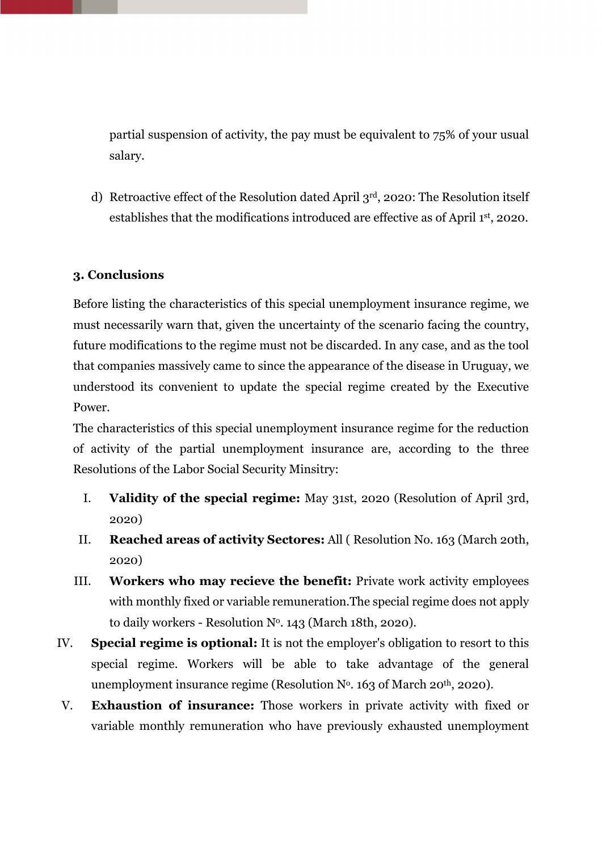partial suspension of activity, the pay must be equivalent to 75% of your usual salary.

d) Retroactive effect of the Resolution dated April 3rd, 2020: The Resolution itself establishes that the modifications introduced are effective as of April 1st, 2020.

## **3. Conclusions**

Before listing the characteristics of this special unemployment insurance regime, we must necessarily warn that, given the uncertainty of the scenario facing the country, future modifications to the regime must not be discarded. In any case, and as the tool that companies massively came to since the appearance of the disease in Uruguay, we understood its convenient to update the special regime created by the Executive Power.

The characteristics of this special unemployment insurance regime for the reduction of activity of the partial unemployment insurance are, according to the three Resolutions of the Labor Social Security Minsitry:

- I. **Validity of the special regime:** May 31st, 2020 (Resolution of April 3rd, 2020)
- II. **Reached areas of activity Sectores:** All ( Resolution No. 163 (March 20th, 2020)
- III. **Workers who may recieve the benefit:** Private work activity employees with monthly fixed or variable remuneration.The special regime does not apply to daily workers - Resolution  $N<sup>o</sup>$ . 143 (March 18th, 2020).
- IV. **Special regime is optional:** It is not the employer's obligation to resort to this special regime. Workers will be able to take advantage of the general unemployment insurance regime (Resolution  $N<sup>0</sup>$ . 163 of March 20<sup>th</sup>, 2020).
- V. **Exhaustion of insurance:** Those workers in private activity with fixed or variable monthly remuneration who have previously exhausted unemployment